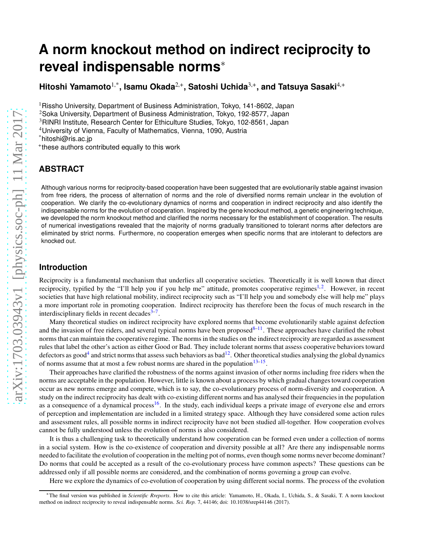# **A norm knockout method on indirect reciprocity to reveal indispensable norms**<sup>∗</sup>

**Hitoshi Yamamoto**1,\***, Isamu Okada**2,+**, Satoshi Uchida**3,+**, and Tatsuya Sasaki**4,+

<sup>1</sup> Rissho University, Department of Business Administration, Tokyo, 141-8602, Japan

<sup>2</sup>Soka University, Department of Business Administration, Tokyo, 192-8577, Japan

<sup>3</sup>RINRI Institute, Research Center for Ethiculture Studies, Tokyo, 102-8561, Japan

<sup>4</sup>University of Vienna, Faculty of Mathematics, Vienna, 1090, Austria

\*hitoshi@ris.ac.jp

+ these authors contributed equally to this work

# **ABSTRACT**

Although various norms for reciprocity-based cooperation have been suggested that are evolutionarily stable against invasion from free riders, the process of alternation of norms and the role of diversified norms remain unclear in the evolution of cooperation. We clarify the co-evolutionary dynamics of norms and cooperation in indirect reciprocity and also identify the indispensable norms for the evolution of cooperation. Inspired by the gene knockout method, a genetic engineering technique, we developed the norm knockout method and clarified the norms necessary for the establishment of cooperation. The results of numerical investigations revealed that the majority of norms gradually transitioned to tolerant norms after defectors are eliminated by strict norms. Furthermore, no cooperation emerges when specific norms that are intolerant to defectors are knocked out.

# **Introduction**

Reciprocity is a fundamental mechanism that underlies all cooperative societies. Theoretically it is well known that direct reciprocity, typified by the "I'll help you if you help me" attitude, promotes cooperative regimes<sup>[1,](#page-4-0)[2](#page-4-1)</sup>. However, in recent societies that have high relational mobility, indirect reciprocity such as "I'll help you and somebody else will help me" plays a more important role in promoting cooperation. Indirect reciprocity has therefore been the focus of much research in the interdisciplinary fields in recent decades $3-7$  $3-7$ .

Many theoretical studies on indirect reciprocity have explored norms that become evolutionarily stable against defection and the invasion of free riders, and several typical norms have been proposed $8-11$  $8-11$ . These approaches have clarified the robust norms that can maintain the cooperative regime. The norms in the studies on the indirect reciprocity are regarded as assessment rules that label the other's action as either Good or Bad. They include tolerant norms that assess cooperative behaviors toward defectors as good<sup>[4](#page-4-6)</sup> and strict norms that assess such behaviors as bad<sup>[12](#page-4-7)</sup>. Other theoretical studies analysing the global dynamics of norms assume that at most a few robust norms are shared in the population  $13-15$  $13-15$ .

Their approaches have clarified the robustness of the norms against invasion of other norms including free riders when the norms are acceptable in the population. However, little is known about a process by which gradual changes toward cooperation occur as new norms emerge and compete, which is to say, the co-evolutionary process of norm-diversity and cooperation. A study on the indirect reciprocity has dealt with co-existing different norms and has analysed their frequencies in the population as a consequence of a dynamical process<sup>[16](#page-4-10)</sup>. In the study, each individual keeps a private image of everyone else and errors of perception and implementation are included in a limited strategy space. Although they have considered some action rules and assessment rules, all possible norms in indirect reciprocity have not been studied all-together. How cooperation evolves cannot be fully understood unless the evolution of norms is also considered.

It is thus a challenging task to theoretically understand how cooperation can be formed even under a collection of norms in a social system. How is the co-existence of cooperation and diversity possible at all? Are there any indispensable norms needed to facilitate the evolution of cooperation in the melting pot of norms, even though some norms never become dominant? Do norms that could be accepted as a result of the co-evolutionary process have common aspects? These questions can be addressed only if all possible norms are considered, and the combination of norms governing a group can evolve.

Here we explore the dynamics of co-evolution of cooperation by using different social norms. The process of the evolution

<sup>∗</sup>The final version was published in *Scientific Rreports*. How to cite this article: Yamamoto, H., Okada, I., Uchida, S., & Sasaki, T. A norm knockout method on indirect reciprocity to reveal indispensable norms. *Sci. Rep.* 7, 44146; doi: 10.1038/srep44146 (2017).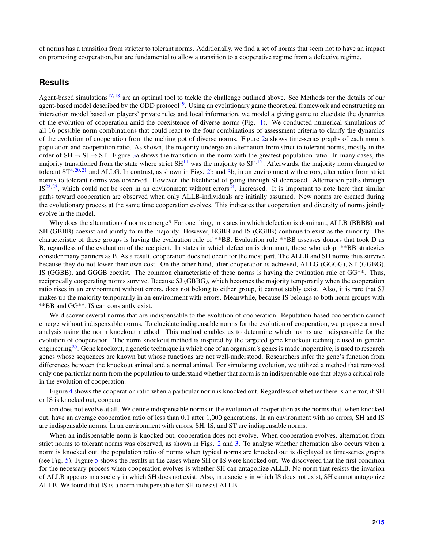of norms has a transition from stricter to tolerant norms. Additionally, we find a set of norms that seem not to have an impact on promoting cooperation, but are fundamental to allow a transition to a cooperative regime from a defective regime.

## **Results**

Agent-based simulations<sup>[17,](#page-4-11)[18](#page-4-12)</sup> are an optimal tool to tackle the challenge outlined above. See Methods for the details of our agent-based model described by the ODD protocol<sup>[19](#page-4-13)</sup>. Using an evolutionary game theoretical framework and constructing an interaction model based on players' private rules and local information, we model a giving game to elucidate the dynamics of the evolution of cooperation amid the coexistence of diverse norms (Fig. [1\)](#page-7-0). We conducted numerical simulations of all 16 possible norm combinations that could react to the four combinations of assessment criteria to clarify the dynamics of the evolution of cooperation from the melting pot of diverse norms. Figure [2a](#page-8-0) shows time-series graphs of each norm's population and cooperation ratio. As shown, the majority undergo an alternation from strict to tolerant norms, mostly in the order of  $SH \rightarrow SI \rightarrow ST$ . Figure [3a](#page-8-1) shows the transition in the norm with the greatest population ratio. In many cases, the majority transitioned from the state where strict  $SH<sup>11</sup>$  $SH<sup>11</sup>$  $SH<sup>11</sup>$  was the majority to  $SI<sup>5,12</sup>$  $SI<sup>5,12</sup>$  $SI<sup>5,12</sup>$  $SI<sup>5,12</sup>$ . Afterwards, the majority norm changed to tolerant  $ST^{4,20,21}$  $ST^{4,20,21}$  $ST^{4,20,21}$  $ST^{4,20,21}$  $ST^{4,20,21}$  and ALLG. In contrast, as shown in Figs. [2b](#page-8-0) and [3b](#page-8-1), in an environment with errors, alternation from strict norms to tolerant norms was observed. However, the likelihood of going through SJ decreased. Alternation paths through  $IS^{22,23}$  $IS^{22,23}$  $IS^{22,23}$  $IS^{22,23}$ , which could not be seen in an environment without errors<sup>[24](#page-4-19)</sup>, increased. It is important to note here that similar paths toward cooperation are observed when only ALLB-individuals are initially assumed. New norms are created during the evolutionary process at the same time cooperation evolves. This indicates that cooperation and diversity of norms jointly evolve in the model.

Why does the alternation of norms emerge? For one thing, in states in which defection is dominant, ALLB (BBBB) and SH (GBBB) coexist and jointly form the majority. However, BGBB and IS (GGBB) continue to exist as the minority. The characteristic of these groups is having the evaluation rule of \*\*BB. Evaluation rule \*\*BB assesses donors that took D as B, regardless of the evaluation of the recipient. In states in which defection is dominant, those who adopt \*\*BB strategies consider many partners as B. As a result, cooperation does not occur for the most part. The ALLB and SH norms thus survive because they do not lower their own cost. On the other hand, after cooperation is achieved, ALLG (GGGG), ST (GGBG), IS (GGBB), and GGGB coexist. The common characteristic of these norms is having the evaluation rule of GG\*\*. Thus, reciprocally cooperating norms survive. Because SJ (GBBG), which becomes the majority temporarily when the cooperation ratio rises in an environment without errors, does not belong to either group, it cannot stably exist. Also, it is rare that SJ makes up the majority temporarily in an environment with errors. Meanwhile, because IS belongs to both norm groups with \*\*BB and GG\*\*, IS can constantly exist.

We discover several norms that are indispensable to the evolution of cooperation. Reputation-based cooperation cannot emerge without indispensable norms. To elucidate indispensable norms for the evolution of cooperation, we propose a novel analysis using the norm knockout method. This method enables us to determine which norms are indispensable for the evolution of cooperation. The norm knockout method is inspired by the targeted gene knockout technique used in genetic engineering<sup>[25](#page-4-20)</sup>. Gene knockout, a genetic technique in which one of an organism's genes is made inoperative, is used to research genes whose sequences are known but whose functions are not well-understood. Researchers infer the gene's function from differences between the knockout animal and a normal animal. For simulating evolution, we utilized a method that removed only one particular norm from the population to understand whether that norm is an indispensable one that plays a critical role in the evolution of cooperation.

Figure [4](#page-9-0) shows the cooperation ratio when a particular norm is knocked out. Regardless of whether there is an error, if SH or IS is knocked out, cooperat

ion does not evolve at all. We define indispensable norms in the evolution of cooperation as the norms that, when knocked out, have an average cooperation ratio of less than 0.1 after 1,000 generations. In an environment with no errors, SH and IS are indispensable norms. In an environment with errors, SH, IS, and ST are indispensable norms.

When an indispensable norm is knocked out, cooperation does not evolve. When cooperation evolves, alternation from strict norms to tolerant norms was observed, as shown in Figs. [2](#page-8-0) and [3.](#page-8-1) To analyse whether alternation also occurs when a norm is knocked out, the population ratio of norms when typical norms are knocked out is displayed as time-series graphs (see Fig. [5\)](#page-9-1). Figure [5](#page-9-1) shows the results in the cases where SH or IS were knocked out. We discovered that the first condition for the necessary process when cooperation evolves is whether SH can antagonize ALLB. No norm that resists the invasion of ALLB appears in a society in which SH does not exist. Also, in a society in which IS does not exist, SH cannot antagonize ALLB. We found that IS is a norm indispensable for SH to resist ALLB.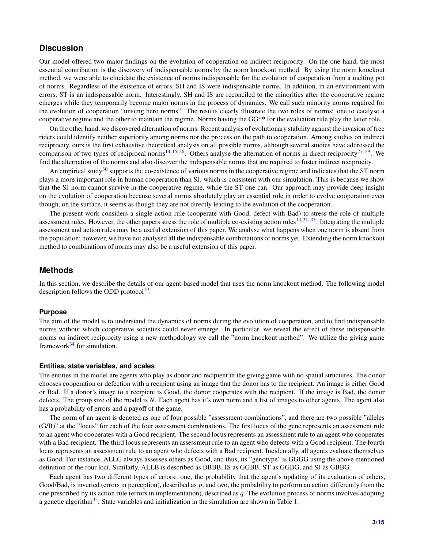# **Discussion**

Our model offered two major findings on the evolution of cooperation on indirect reciprocity. On the one hand, the most essential contribution is the discovery of indispensable norms by the norm knockout method. By using the norm knockout method, we were able to elucidate the existence of norms indispensable for the evolution of cooperation from a melting pot of norms. Regardless of the existence of errors, SH and IS were indispensable norms. In addition, in an environment with errors, ST is an indispensable norm. Interestingly, SH and IS are reconciled to the minorities after the cooperative regime emerges while they temporarily become major norms in the process of dynamics. We call such minority norms required for the evolution of cooperation "unsung hero norms". The results clearly illustrate the two roles of norms: one to catalyse a cooperative regime and the other to maintain the regime. Norms having the GG\*\* for the evaluation rule play the latter role.

On the other hand, we discovered alternation of norms. Recent analysis of evolutionary stability against the invasion of free riders could identify neither superiority among norms nor the process on the path to cooperation. Among studies on indirect reciprocity, ours is the first exhaustive theoretical analysis on all possible norms, although several studies have addressed the comparison of two types of reciprocal norms<sup>[14,](#page-4-21)[15,](#page-4-9)[26](#page-4-22)</sup>. Others analyse the alternation of norms in direct reciprocity<sup>[27–](#page-5-0)[29](#page-5-1)</sup>. We find the alternation of the norms and also discover the indispensable norms that are required to foster indirect reciprocity.

An empirical study $30$  supports the co-existence of various norms in the cooperative regime and indicates that the ST norm plays a more important role in human cooperation than SJ, which is consistent with our simulation. This is because we show that the SJ norm cannot survive in the cooperative regime, while the ST one can. Our approach may provide deep insight on the evolution of cooperation because several norms absolutely play an essential role in order to evolve cooperation even though, on the surface, it seems as though they are not directly leading to the evolution of the cooperation.

The present work considers a single action rule (cooperate with Good, defect with Bad) to stress the role of multiple assessment rules. However, the other papers stress the role of multiple co-existing action rules<sup>[13,](#page-4-8)[31–](#page-5-3)[33](#page-5-4)</sup>. Integrating the multiple assessment and action rules may be a useful extension of this paper. We analyse what happens when one norm is absent from the population; however, we have not analysed all the indispensable combinations of norms yet. Extending the norm knockout method to combinations of norms may also be a useful extension of this paper.

### **Methods**

In this section, we describe the details of our agent-based model that uses the norm knockout method. The following model description follows the ODD protocol<sup>[19](#page-4-13)</sup>.

#### **Purpose**

The aim of the model is to understand the dynamics of norms during the evolution of cooperation, and to find indispensable norms without which cooperative societies could never emerge. In particular, we reveal the effect of these indispensable norms on indirect reciprocity using a new methodology we call the "norm knockout method". We utilize the giving game framework $34$  for simulation.

#### **Entities, state variables, and scales**

The entities in the model are agents who play as donor and recipient in the giving game with no spatial structures. The donor chooses cooperation or defection with a recipient using an image that the donor has to the recipient. An image is either Good or Bad. If a donor's image to a recipient is Good, the donor cooperates with the recipient. If the image is Bad, the donor defects. The group size of the model is *N*. Each agent has it's own norm and a list of images to other agents. The agent also has a probability of errors and a payoff of the game.

The norm of an agent is denoted as one of four possible "assessment combinations", and there are two possible "alleles (G/B)" at the "locus" for each of the four assessment combinations. The first locus of the gene represents an assessment rule to an agent who cooperates with a Good recipient. The second locus represents an assessment rule to an agent who cooperates with a Bad recipient. The third locus represents an assessment rule to an agent who defects with a Good recipient. The fourth locus represents an assessment rule to an agent who defects with a Bad recipient. Incidentally, all agents evaluate themselves as Good. For instance, ALLG always assesses others as Good, and thus, its "genotype" is GGGG using the above mentioned definition of the four loci. Similarly, ALLB is described as BBBB, IS as GGBB, ST as GGBG, and SJ as GBBG.

Each agent has two different types of errors: one, the probability that the agent's updating of its evaluation of others, Good/Bad, is inverted (errors in perception), described as *p*, and two, the probability to perform an action differently from the one prescribed by its action rule (errors in implementation), described as *q*. The evolution process of norms involves adopting a genetic algorithm<sup>[35](#page-5-6)</sup>. State variables and initialization in the simulation are shown in Table [1.](#page-6-0)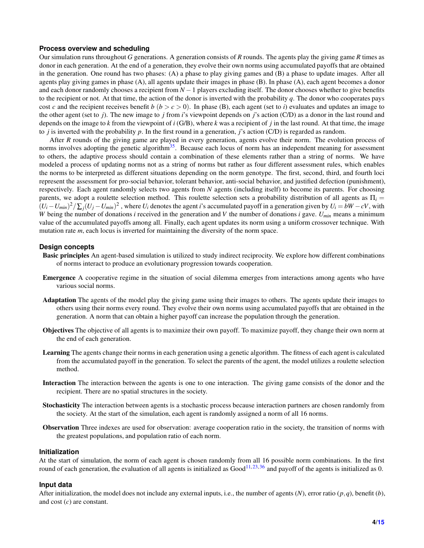### **Process overview and scheduling**

Our simulation runs throughout *G* generations. A generation consists of *R* rounds. The agents play the giving game *R* times as donor in each generation. At the end of a generation, they evolve their own norms using accumulated payoffs that are obtained in the generation. One round has two phases: (A) a phase to play giving games and (B) a phase to update images. After all agents play giving games in phase  $(A)$ , all agents update their images in phase  $(B)$ . In phase  $(A)$ , each agent becomes a donor and each donor randomly chooses a recipient from *N* −1 players excluding itself. The donor chooses whether to give benefits to the recipient or not. At that time, the action of the donor is inverted with the probability *q*. The donor who cooperates pays cost *c* and the recipient receives benefit *b*  $(b > c > 0)$ . In phase (B), each agent (set to *i*) evaluates and updates an image to the other agent (set to *j*). The new image to *j* from *i*'s viewpoint depends on *j*'s action (C/D) as a donor in the last round and depends on the image to *k* from the viewpoint of *i* (G/B), where *k* was a recipient of *j* in the last round. At that time, the image to *j* is inverted with the probability *p*. In the first round in a generation, *j*'s action (C/D) is regarded as random.

After *R* rounds of the giving game are played in every generation, agents evolve their norm. The evolution process of norms involves adopting the genetic algorithm<sup>[35](#page-5-6)</sup>. Because each locus of norm has an independent meaning for assessment to others, the adaptive process should contain a combination of these elements rather than a string of norms. We have modeled a process of updating norms not as a string of norms but rather as four different assessment rules, which enables the norms to be interpreted as different situations depending on the norm genotype. The first, second, third, and fourth loci represent the assessment for pro-social behavior, tolerant behavior, anti-social behavior, and justified defection (punishment), respectively. Each agent randomly selects two agents from *N* agents (including itself) to become its parents. For choosing parents, we adopt a roulette selection method. This roulette selection sets a probability distribution of all agents as  $\Pi_i$  $(U_i-U_{min})^2/\sum_j (U_j-U_{min})^2$ , where  $U_i$  denotes the agent *i*'s accumulated payoff in a generation given by  $U_i=bW-cV$ , with *W* being the number of donations *i* received in the generation and *V* the number of donations *i* gave.  $U_{min}$  means a minimum value of the accumulated payoffs among all. Finally, each agent updates its norm using a uniform crossover technique. With mutation rate *m*, each locus is inverted for maintaining the diversity of the norm space.

### **Design concepts**

- Basic principles An agent-based simulation is utilized to study indirect reciprocity. We explore how different combinations of norms interact to produce an evolutionary progression towards cooperation.
- Emergence A cooperative regime in the situation of social dilemma emerges from interactions among agents who have various social norms.
- Adaptation The agents of the model play the giving game using their images to others. The agents update their images to others using their norms every round. They evolve their own norms using accumulated payoffs that are obtained in the generation. A norm that can obtain a higher payoff can increase the population through the generation.
- Objectives The objective of all agents is to maximize their own payoff. To maximize payoff, they change their own norm at the end of each generation.
- Learning The agents change their norms in each generation using a genetic algorithm. The fitness of each agent is calculated from the accumulated payoff in the generation. To select the parents of the agent, the model utilizes a roulette selection method.
- Interaction The interaction between the agents is one to one interaction. The giving game consists of the donor and the recipient. There are no spatial structures in the society.
- Stochasticity The interaction between agents is a stochastic process because interaction partners are chosen randomly from the society. At the start of the simulation, each agent is randomly assigned a norm of all 16 norms.
- Observation Three indexes are used for observation: average cooperation ratio in the society, the transition of norms with the greatest populations, and population ratio of each norm.

#### **Initialization**

At the start of simulation, the norm of each agent is chosen randomly from all 16 possible norm combinations. In the first round of each generation, the evaluation of all agents is initialized as  $Good^{11,23,36}$  $Good^{11,23,36}$  $Good^{11,23,36}$  $Good^{11,23,36}$  $Good^{11,23,36}$  and payoff of the agents is initialized as 0.

### **Input data**

After initialization, the model does not include any external inputs, i.e., the number of agents (*N*), error ratio (*p*,*q*), benefit (*b*), and cost (*c*) are constant.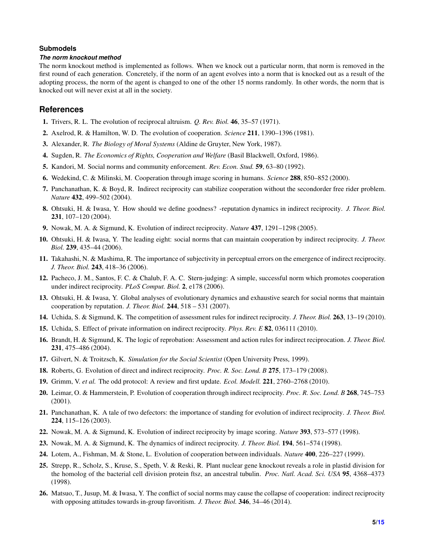### **Submodels**

### *The norm knockout method*

The norm knockout method is implemented as follows. When we knock out a particular norm, that norm is removed in the first round of each generation. Concretely, if the norm of an agent evolves into a norm that is knocked out as a result of the adopting process, the norm of the agent is changed to one of the other 15 norms randomly. In other words, the norm that is knocked out will never exist at all in the society.

# <span id="page-4-0"></span>**References**

- <span id="page-4-1"></span>1. Trivers, R. L. The evolution of reciprocal altruism. *Q. Rev. Biol.* 46, 35–57 (1971).
- <span id="page-4-2"></span>2. Axelrod, R. & Hamilton, W. D. The evolution of cooperation. *Science* 211, 1390–1396 (1981).
- <span id="page-4-6"></span>3. Alexander, R. *The Biology of Moral Systems* (Aldine de Gruyter, New York, 1987).
- <span id="page-4-14"></span>4. Sugden, R. *The Economics of Rights, Cooperation and Welfare* (Basil Blackwell, Oxford, 1986).
- 5. Kandori, M. Social norms and community enforcement. *Rev. Econ. Stud.* 59, 63–80 (1992).
- <span id="page-4-3"></span>6. Wedekind, C. & Milinski, M. Cooperation through image scoring in humans. *Science* 288, 850–852 (2000).
- <span id="page-4-4"></span>7. Panchanathan, K. & Boyd, R. Indirect reciprocity can stabilize cooperation without the secondorder free rider problem. *Nature* 432, 499–502 (2004).
- 8. Ohtsuki, H. & Iwasa, Y. How should we define goodness? -reputation dynamics in indirect reciprocity. *J. Theor. Biol.* 231, 107–120 (2004).
- 9. Nowak, M. A. & Sigmund, K. Evolution of indirect reciprocity. *Nature* 437, 1291–1298 (2005).
- <span id="page-4-5"></span>10. Ohtsuki, H. & Iwasa, Y. The leading eight: social norms that can maintain cooperation by indirect reciprocity. *J. Theor. Biol.* 239, 435–44 (2006).
- <span id="page-4-7"></span>11. Takahashi, N. & Mashima, R. The importance of subjectivity in perceptual errors on the emergence of indirect reciprocity. *J. Theor. Biol.* 243, 418–36 (2006).
- <span id="page-4-8"></span>12. Pacheco, J. M., Santos, F. C. & Chalub, F. A. C. Stern-judging: A simple, successful norm which promotes cooperation under indirect reciprocity. *PLoS Comput. Biol.* 2, e178 (2006).
- <span id="page-4-21"></span>13. Ohtsuki, H. & Iwasa, Y. Global analyses of evolutionary dynamics and exhaustive search for social norms that maintain cooperation by reputation. *J. Theor. Biol.* 244, 518 – 531 (2007).
- <span id="page-4-9"></span>14. Uchida, S. & Sigmund, K. The competition of assessment rules for indirect reciprocity. *J. Theor. Biol.* 263, 13–19 (2010).
- <span id="page-4-10"></span>15. Uchida, S. Effect of private information on indirect reciprocity. *Phys. Rev. E* 82, 036111 (2010).
- <span id="page-4-11"></span>16. Brandt, H. & Sigmund, K. The logic of reprobation: Assessment and action rules for indirect reciprocation. *J. Theor. Biol.* 231, 475–486 (2004).
- <span id="page-4-12"></span>17. Gilvert, N. & Troitzsch, K. *Simulation for the Social Scientist* (Open University Press, 1999).
- <span id="page-4-13"></span>18. Roberts, G. Evolution of direct and indirect reciprocity. *Proc. R. Soc. Lond. B* 275, 173–179 (2008).
- <span id="page-4-15"></span>19. Grimm, V. *et al.* The odd protocol: A review and first update. *Ecol. Modell.* 221, 2760–2768 (2010).
- <span id="page-4-16"></span>20. Leimar, O. & Hammerstein, P. Evolution of cooperation through indirect reciprocity. *Proc. R. Soc. Lond. B* 268, 745–753 (2001).
- <span id="page-4-17"></span>21. Panchanathan, K. A tale of two defectors: the importance of standing for evolution of indirect reciprocity. *J. Theor. Biol.* 224, 115–126 (2003).
- <span id="page-4-18"></span>22. Nowak, M. A. & Sigmund, K. Evolution of indirect reciprocity by image scoring. *Nature* 393, 573–577 (1998).
- <span id="page-4-19"></span>23. Nowak, M. A. & Sigmund, K. The dynamics of indirect reciprocity. *J. Theor. Biol.* 194, 561–574 (1998).
- <span id="page-4-20"></span>24. Lotem, A., Fishman, M. & Stone, L. Evolution of cooperation between individuals. *Nature* 400, 226–227 (1999).
- 25. Strepp, R., Scholz, S., Kruse, S., Speth, V. & Reski, R. Plant nuclear gene knockout reveals a role in plastid division for the homolog of the bacterial cell division protein ftsz, an ancestral tubulin. *Proc. Natl. Acad. Sci. USA* 95, 4368–4373 (1998).
- <span id="page-4-22"></span>26. Matsuo, T., Jusup, M. & Iwasa, Y. The conflict of social norms may cause the collapse of cooperation: indirect reciprocity with opposing attitudes towards in-group favoritism. *J. Theor. Biol.* 346, 34–46 (2014).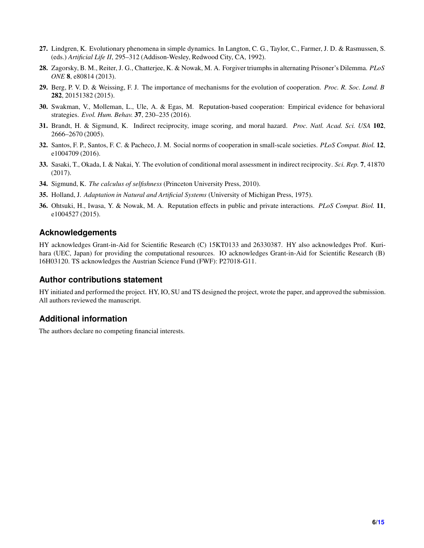- <span id="page-5-0"></span>27. Lindgren, K. Evolutionary phenomena in simple dynamics. In Langton, C. G., Taylor, C., Farmer, J. D. & Rasmussen, S. (eds.) *Artificial Life II*, 295–312 (Addison-Wesley, Redwood City, CA, 1992).
- <span id="page-5-1"></span>28. Zagorsky, B. M., Reiter, J. G., Chatterjee, K. & Nowak, M. A. Forgiver triumphs in alternating Prisoner's Dilemma. *PLoS ONE* 8, e80814 (2013).
- <span id="page-5-2"></span>29. Berg, P. V. D. & Weissing, F. J. The importance of mechanisms for the evolution of cooperation. *Proc. R. Soc. Lond. B* 282, 20151382 (2015).
- <span id="page-5-3"></span>30. Swakman, V., Molleman, L., Ule, A. & Egas, M. Reputation-based cooperation: Empirical evidence for behavioral strategies. *Evol. Hum. Behav.* 37, 230–235 (2016).
- 31. Brandt, H. & Sigmund, K. Indirect reciprocity, image scoring, and moral hazard. *Proc. Natl. Acad. Sci. USA* 102, 2666–2670 (2005).
- <span id="page-5-4"></span>32. Santos, F. P., Santos, F. C. & Pacheco, J. M. Social norms of cooperation in small-scale societies. *PLoS Comput. Biol.* 12, e1004709 (2016).
- <span id="page-5-5"></span>33. Sasaki, T., Okada, I. & Nakai, Y. The evolution of conditional moral assessment in indirect reciprocity. *Sci. Rep.* 7, 41870 (2017).
- <span id="page-5-6"></span>34. Sigmund, K. *The calculus of selfishness* (Princeton University Press, 2010).
- <span id="page-5-7"></span>35. Holland, J. *Adaptation in Natural and Artificial Systems* (University of Michigan Press, 1975).
- 36. Ohtsuki, H., Iwasa, Y. & Nowak, M. A. Reputation effects in public and private interactions. *PLoS Comput. Biol.* 11, e1004527 (2015).

## **Acknowledgements**

HY acknowledges Grant-in-Aid for Scientific Research (C) 15KT0133 and 26330387. HY also acknowledges Prof. Kurihara (UEC, Japan) for providing the computational resources. IO acknowledges Grant-in-Aid for Scientific Research (B) 16H03120. TS acknowledges the Austrian Science Fund (FWF): P27018-G11.

# **Author contributions statement**

HY initiated and performed the project. HY, IO, SU and TS designed the project, wrote the paper, and approved the submission. All authors reviewed the manuscript.

# **Additional information**

The authors declare no competing financial interests.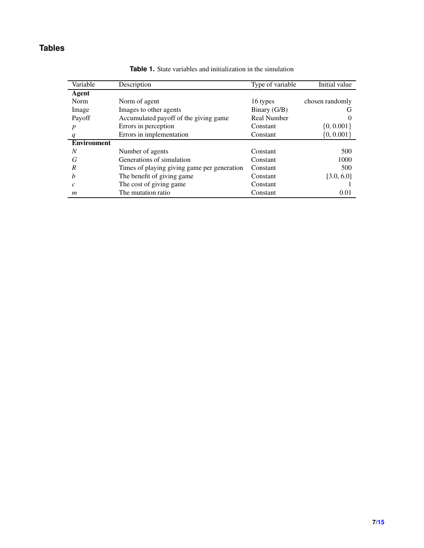# <span id="page-6-0"></span>**Tables**

| Variable           | Description                                 | Type of variable   | Initial value   |
|--------------------|---------------------------------------------|--------------------|-----------------|
| Agent              |                                             |                    |                 |
| Norm               | Norm of agent                               | 16 types           | chosen randomly |
| Image              | Images to other agents                      | Binary (G/B)       | Cτ              |
| Payoff             | Accumulated payoff of the giving game       | <b>Real Number</b> |                 |
| p                  | Errors in perception                        | Constant           | $\{0, 0.001\}$  |
| q                  | Errors in implementation                    | Constant           | $\{0, 0.001\}$  |
| <b>Environment</b> |                                             |                    |                 |
| N                  | Number of agents                            | Constant           | 500             |
| G                  | Generations of simulation                   | Constant           | 1000            |
| R                  | Times of playing giving game per generation | Constant           | 500             |
| h                  | The benefit of giving game                  | Constant           | [3.0, 6.0]      |
| C                  | The cost of giving game                     | Constant           |                 |
| m                  | The mutation ratio                          | Constant           | 0.01            |

**Table 1.** State variables and initialization in the simulation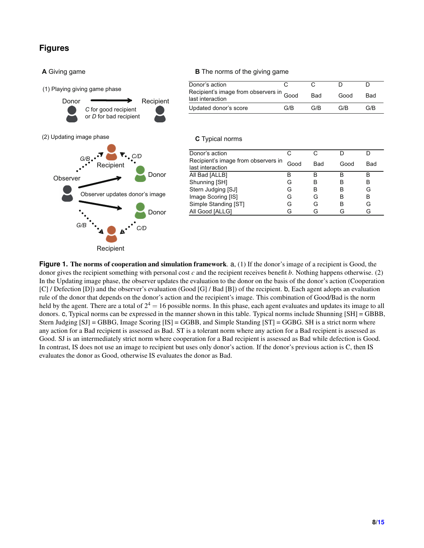# <span id="page-7-0"></span>**Figures**

### **A** Giving game



### **B** The norms of the giving game

| Donor's action                                               |     |            |      |     |
|--------------------------------------------------------------|-----|------------|------|-----|
| Recipient's image from observers in Good<br>last interaction |     | <b>Bad</b> | Good | Bad |
| Updated donor's score                                        | G/R | G/R        | G/R  | G/B |

### **C** Typical norms

| Donor's action                                          | റ    |            |      |     |
|---------------------------------------------------------|------|------------|------|-----|
| Recipient's image from observers in<br>last interaction | Good | <b>Bad</b> | Good | Bad |
| All Bad [ALLB]                                          | в    | в          | в    | в   |
| Shunning [SH]                                           | G    | B          | в    | в   |
| Stern Judging [SJ]                                      | G    | в          | в    | G   |
| Image Scoring [IS]                                      | G    | G          | в    | В   |
| Simple Standing [ST]                                    | G    | G          | в    | G   |
| All Good [ALLG]                                         | G    | G          | G    | G   |

**Figure 1.** The norms of cooperation and simulation framework. a, (1) If the donor's image of a recipient is Good, the donor gives the recipient something with personal cost *c* and the recipient receives benefit *b*. Nothing happens otherwise. (2) In the Updating image phase, the observer updates the evaluation to the donor on the basis of the donor's action (Cooperation [C] / Defection [D]) and the observer's evaluation (Good [G] / Bad [B]) of the recipient. b, Each agent adopts an evaluation rule of the donor that depends on the donor's action and the recipient's image. This combination of Good/Bad is the norm held by the agent. There are a total of  $2^4 = 16$  possible norms. In this phase, each agent evaluates and updates its image to all donors. c, Typical norms can be expressed in the manner shown in this table. Typical norms include Shunning [SH] = GBBB, Stern Judging [SJ] = GBBG, Image Scoring [IS] = GGBB, and Simple Standing [ST] = GGBG. SH is a strict norm where any action for a Bad recipient is assessed as Bad. ST is a tolerant norm where any action for a Bad recipient is assessed as Good. SJ is an intermediately strict norm where cooperation for a Bad recipient is assessed as Bad while defection is Good. In contrast, IS does not use an image to recipient but uses only donor's action. If the donor's previous action is C, then IS evaluates the donor as Good, otherwise IS evaluates the donor as Bad.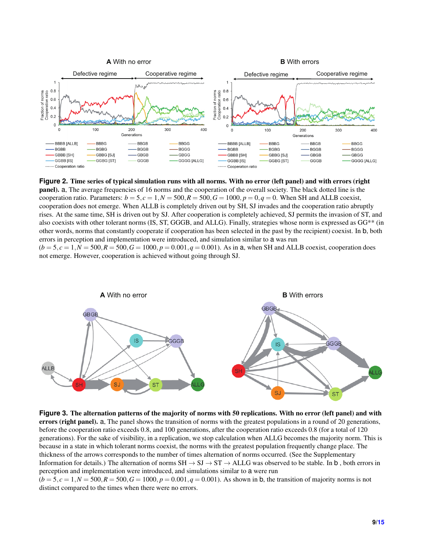<span id="page-8-0"></span>

**Figure 2.** Time series of typical simulation runs with all norms. With no error (left panel) and with errors (right panel). a, The average frequencies of 16 norms and the cooperation of the overall society. The black dotted line is the cooperation ratio. Parameters:  $b = 5$ ,  $c = 1$ ,  $N = 500$ ,  $R = 500$ ,  $G = 1000$ ,  $p = 0$ ,  $q = 0$ . When SH and ALLB coexist, cooperation does not emerge. When ALLB is completely driven out by SH, SJ invades and the cooperation ratio abruptly rises. At the same time, SH is driven out by SJ. After cooperation is completely achieved, SJ permits the invasion of ST, and also coexists with other tolerant norms (IS, ST, GGGB, and ALLG). Finally, strategies whose norm is expressed as GG\*\* (in other words, norms that constantly cooperate if cooperation has been selected in the past by the recipient) coexist. In b, both errors in perception and implementation were introduced, and simulation similar to a was run

 $(b = 5, c = 1, N = 500, R = 500, G = 1000, p = 0.001, q = 0.001)$ . As in a, when SH and ALLB coexist, cooperation does not emerge. However, cooperation is achieved without going through SJ.

<span id="page-8-1"></span>



 $(b = 5, c = 1, N = 500, R = 500, G = 1000, p = 0.001, q = 0.001)$ . As shown in b, the transition of majority norms is not distinct compared to the times when there were no errors.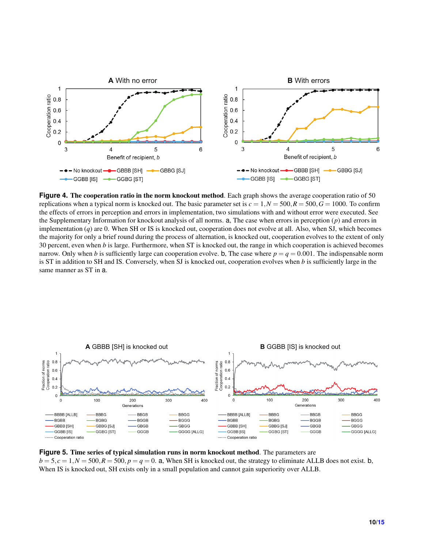<span id="page-9-0"></span>

**Figure 4.** The cooperation ratio in the norm knockout method. Each graph shows the average cooperation ratio of 50 replications when a typical norm is knocked out. The basic parameter set is  $c = 1, N = 500, R = 500, G = 1000$ . To confirm the effects of errors in perception and errors in implementation, two simulations with and without error were executed. See the Supplementary Information for knockout analysis of all norms. a, The case when errors in perception (*p*) and errors in implementation (*q*) are 0. When SH or IS is knocked out, cooperation does not evolve at all. Also, when SJ, which becomes the majority for only a brief round during the process of alternation, is knocked out, cooperation evolves to the extent of only 30 percent, even when *b* is large. Furthermore, when ST is knocked out, the range in which cooperation is achieved becomes narrow. Only when *b* is sufficiently large can cooperation evolve. b, The case where  $p = q = 0.001$ . The indispensable norm is ST in addition to SH and IS. Conversely, when SJ is knocked out, cooperation evolves when *b* is sufficiently large in the same manner as ST in a.

<span id="page-9-1"></span>

**Figure 5.** Time series of typical simulation runs in norm knockout method. The parameters are  $b = 5, c = 1, N = 500, R = 500, p = q = 0$ . a, When SH is knocked out, the strategy to eliminate ALLB does not exist. b, When IS is knocked out, SH exists only in a small population and cannot gain superiority over ALLB.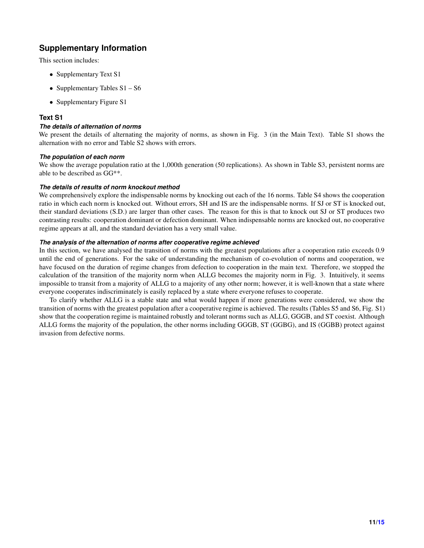# **Supplementary Information**

This section includes:

- Supplementary Text S1
- Supplementary Tables S1 S6
- Supplementary Figure S1

# **Text S1**

## *The details of alternation of norms*

We present the details of alternating the majority of norms, as shown in Fig. 3 (in the Main Text). Table S1 shows the alternation with no error and Table S2 shows with errors.

### *The population of each norm*

We show the average population ratio at the 1,000th generation (50 replications). As shown in Table S3, persistent norms are able to be described as GG\*\*.

### *The details of results of norm knockout method*

We comprehensively explore the indispensable norms by knocking out each of the 16 norms. Table S4 shows the cooperation ratio in which each norm is knocked out. Without errors, SH and IS are the indispensable norms. If SJ or ST is knocked out, their standard deviations (S.D.) are larger than other cases. The reason for this is that to knock out SJ or ST produces two contrasting results: cooperation dominant or defection dominant. When indispensable norms are knocked out, no cooperative regime appears at all, and the standard deviation has a very small value.

### *The analysis of the alternation of norms after cooperative regime achieved*

In this section, we have analysed the transition of norms with the greatest populations after a cooperation ratio exceeds 0.9 until the end of generations. For the sake of understanding the mechanism of co-evolution of norms and cooperation, we have focused on the duration of regime changes from defection to cooperation in the main text. Therefore, we stopped the calculation of the transition of the majority norm when ALLG becomes the majority norm in Fig. 3. Intuitively, it seems impossible to transit from a majority of ALLG to a majority of any other norm; however, it is well-known that a state where everyone cooperates indiscriminately is easily replaced by a state where everyone refuses to cooperate.

To clarify whether ALLG is a stable state and what would happen if more generations were considered, we show the transition of norms with the greatest population after a cooperative regime is achieved. The results (Tables S5 and S6, Fig. S1) show that the cooperation regime is maintained robustly and tolerant norms such as ALLG, GGGB, and ST coexist. Although ALLG forms the majority of the population, the other norms including GGGB, ST (GGBG), and IS (GGBB) protect against invasion from defective norms.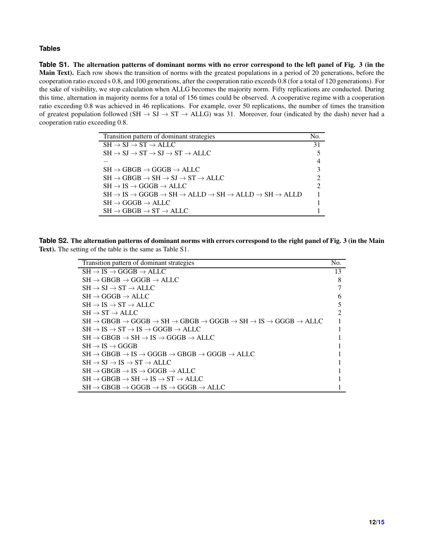### **Tables**

**Table S1.** The alternation patterns of dominant norms with no error correspond to the left panel of Fig. 3 (in the Main Text). Each row shows the transition of norms with the greatest populations in a period of 20 generations, before the cooperation ratio exceed s 0.8, and 100 generations, after the cooperation ratio exceeds 0.8 (for a total of 120 generations). For the sake of visibility, we stop calculation when ALLG becomes the majority norm. Fifty replications are conducted. During this time, alternation in majority norms for a total of 156 times could be observed. A cooperative regime with a cooperation ratio exceeding 0.8 was achieved in 46 replications. For example, over 50 replications, the number of times the transition of greatest population followed (SH  $\rightarrow$  SJ  $\rightarrow$  ST  $\rightarrow$  ALLG) was 31. Moreover, four (indicated by the dash) never had a cooperation ratio exceeding 0.8.

| Transition pattern of dominant strategies                                                                                            | No.                         |
|--------------------------------------------------------------------------------------------------------------------------------------|-----------------------------|
| $SH \rightarrow SI \rightarrow ST \rightarrow ALLC$                                                                                  | 31                          |
| $SH \rightarrow SI \rightarrow ST \rightarrow SI \rightarrow ST \rightarrow ALLC$                                                    | 5                           |
|                                                                                                                                      | 4                           |
| $SH \rightarrow GBGB \rightarrow GGGB \rightarrow ALLC$                                                                              | 3                           |
| $SH \rightarrow GBGB \rightarrow SH \rightarrow SI \rightarrow ST \rightarrow ALLC$                                                  | $\mathcal{D}$               |
| $SH \rightarrow IS \rightarrow GGGB \rightarrow ALLC$                                                                                | $\mathcal{D}_{\mathcal{L}}$ |
| $SH \rightarrow IS \rightarrow GGGB \rightarrow SH \rightarrow ALLD \rightarrow SH \rightarrow ALLD \rightarrow SH \rightarrow ALLD$ |                             |
| $SH \rightarrow GGGB \rightarrow ALLC$                                                                                               |                             |
| $SH \rightarrow GBGB \rightarrow ST \rightarrow ALLC$                                                                                |                             |

**Table S2.** The alternation patterns of dominant norms with errors correspond to the right panel of Fig. 3 (in the Main Text). The setting of the table is the same as Table S1.

| Transition pattern of dominant strategies                                                                                                               | No.                         |
|---------------------------------------------------------------------------------------------------------------------------------------------------------|-----------------------------|
| $SH \rightarrow IS \rightarrow GGGB \rightarrow ALLC$                                                                                                   | 13                          |
| $SH \rightarrow GBGB \rightarrow GGGB \rightarrow ALLC$                                                                                                 | 8                           |
| $SH \rightarrow SI \rightarrow ST \rightarrow ALLC$                                                                                                     |                             |
| $SH \rightarrow GGGB \rightarrow ALLC$                                                                                                                  |                             |
| $SH \rightarrow IS \rightarrow ST \rightarrow ALLC$                                                                                                     |                             |
| $SH \rightarrow ST \rightarrow ALLC$                                                                                                                    | $\mathcal{D}_{\mathcal{L}}$ |
| $SH \rightarrow GBGB \rightarrow GGGB \rightarrow SH \rightarrow GBGB \rightarrow GGGB \rightarrow SH \rightarrow IS \rightarrow GGGB \rightarrow ALLC$ |                             |
| $SH \to IS \to ST \to IS \to GGGB \to ALLC$                                                                                                             |                             |
| $SH \rightarrow GBGB \rightarrow SH \rightarrow IS \rightarrow GGGB \rightarrow ALLC$                                                                   |                             |
| $SH \rightarrow IS \rightarrow GGGB$                                                                                                                    |                             |
| $SH \rightarrow GBGB \rightarrow IS \rightarrow GGGB \rightarrow GBGB \rightarrow GGGB \rightarrow ALLC$                                                |                             |
| $SH \rightarrow SI \rightarrow IS \rightarrow ST \rightarrow ALLC$                                                                                      |                             |
| $SH \rightarrow GBGB \rightarrow IS \rightarrow GGGB \rightarrow ALLC$                                                                                  |                             |
| $SH \rightarrow GBGB \rightarrow SH \rightarrow IS \rightarrow ST \rightarrow ALLC$                                                                     |                             |
| $SH \rightarrow GBGB \rightarrow GGGB \rightarrow IS \rightarrow GGGB \rightarrow ALLC$                                                                 |                             |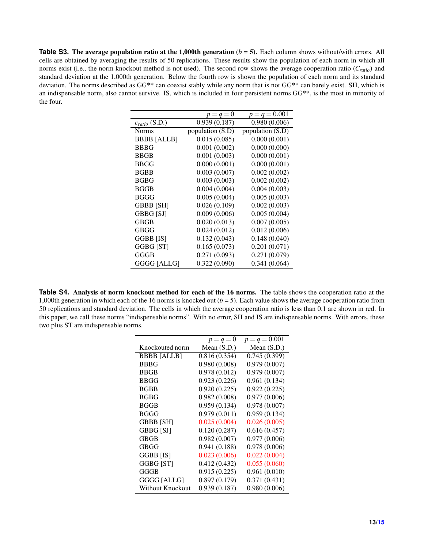**Table S3.** The average population ratio at the 1,000th generation (*b* = 5). Each column shows without/with errors. All cells are obtained by averaging the results of 50 replications. These results show the population of each norm in which all norms exist (i.e., the norm knockout method is not used). The second row shows the average cooperation ratio (*Cratio*) and standard deviation at the 1,000th generation. Below the fourth row is shown the population of each norm and its standard deviation. The norms described as GG<sup>\*\*</sup> can coexist stably while any norm that is not GG<sup>\*\*</sup> can barely exist. SH, which is an indispensable norm, also cannot survive. IS, which is included in four persistent norms  $GG^{**}$ , is the most in minority of the four.

|                    | $p = q = 0$      | $p = q = 0.001$  |
|--------------------|------------------|------------------|
| $c_{ratio}$ (S.D.) | 0.939(0.187)     | 0.980 (0.006)    |
| <b>Norms</b>       | population (S.D) | population (S.D) |
| <b>BBBB</b> [ALLB] | 0.015(0.085)     | 0.000(0.001)     |
| <b>BBBG</b>        | 0.001(0.002)     | 0.000(0.000)     |
| <b>BBGB</b>        | 0.001(0.003)     | 0.000(0.001)     |
| BBGG               | 0.000(0.001)     | 0.000(0.001)     |
| <b>BGBB</b>        | 0.003(0.007)     | 0.002(0.002)     |
| BGBG               | 0.003(0.003)     | 0.002(0.002)     |
| <b>BGGB</b>        | 0.004(0.004)     | 0.004(0.003)     |
| <b>BGGG</b>        | 0.005(0.004)     | 0.005(0.003)     |
| GBBB [SH]          | 0.026(0.109)     | 0.002(0.003)     |
| <b>GBBG</b> [SJ]   | 0.009(0.006)     | 0.005(0.004)     |
| GBGB               | 0.020(0.013)     | 0.007(0.005)     |
| <b>GBGG</b>        | 0.024(0.012)     | 0.012(0.006)     |
| GGBB [IS]          | 0.132(0.043)     | 0.148(0.040)     |
| GGBG [ST]          | 0.165(0.073)     | 0.201(0.071)     |
| GGGB               | 0.271(0.093)     | 0.271 (0.079)    |
| GGGG [ALLG]        | 0.322 (0.090)    | 0.341 (0.064)    |

**Table S4.** Analysis of norm knockout method for each of the 16 norms. The table shows the cooperation ratio at the 1,000th generation in which each of the 16 norms is knocked out  $(b = 5)$ . Each value shows the average cooperation ratio from 50 replications and standard deviation. The cells in which the average cooperation ratio is less than 0.1 are shown in red. In this paper, we call these norms "indispensable norms". With no error, SH and IS are indispensable norms. With errors, these two plus ST are indispensable norms.

|                    | $p = q = 0$   | $p = q = 0.001$ |
|--------------------|---------------|-----------------|
| Knockouted norm    | Mean $(S.D.)$ | Mean $(S.D.)$   |
| <b>BBBB</b> [ALLB] | 0.816(0.354)  | 0.745(0.399)    |
| <b>BBBG</b>        | 0.980(0.008)  | 0.979(0.007)    |
| <b>BBGB</b>        | 0.978(0.012)  | 0.979(0.007)    |
| <b>BBGG</b>        | 0.923(0.226)  | 0.961(0.134)    |
| <b>BGBB</b>        | 0.920(0.225)  | 0.922(0.225)    |
| <b>BGBG</b>        | 0.982(0.008)  | 0.977(0.006)    |
| <b>BGGB</b>        | 0.959(0.134)  | 0.978(0.007)    |
| <b>BGGG</b>        | 0.979(0.011)  | 0.959(0.134)    |
| <b>GBBB [SH]</b>   | 0.025(0.004)  | 0.026(0.005)    |
| <b>GBBG [SJ]</b>   | 0.120(0.287)  | 0.616(0.457)    |
| GBGB               | 0.982(0.007)  | 0.977(0.006)    |
| GBGG               | 0.941(0.188)  | 0.978(0.006)    |
| GGBB [IS]          | 0.023(0.006)  | 0.022(0.004)    |
| GGBG [ST]          | 0.412(0.432)  | 0.055(0.060)    |
| GGGB               | 0.915(0.225)  | 0.961(0.010)    |
| <b>GGGG [ALLG]</b> | 0.897(0.179)  | 0.371(0.431)    |
| Without Knockout   | 0.939(0.187)  | 0.980 (0.006)   |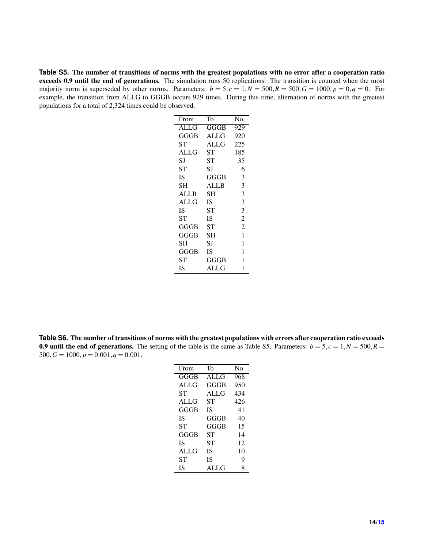**Table S5.** The number of transitions of norms with the greatest populations with no error after a cooperation ratio exceeds 0.9 until the end of generations. The simulation runs 50 replications. The transition is counted when the most majority norm is superseded by other norms. Parameters:  $b = 5$ ,  $c = 1$ ,  $N = 500$ ,  $R = 500$ ,  $G = 1000$ ,  $p = 0$ ,  $q = 0$ . For example, the transition from ALLG to GGGB occurs 929 times. During this time, alternation of norms with the greatest populations for a total of 2,324 times could be observed.

| From        | To          | N <sub>0</sub> |
|-------------|-------------|----------------|
| <b>ALLG</b> | GGGB        | 929            |
| GGGB        | ALLG        | 920            |
| ST          | ALLG        | 225            |
| ALLG        | ST          | 185            |
| SJ          | ST          | 35             |
| ST          | SJ          | 6              |
| IS          | GGGB        | 3              |
| SН          | <b>ALLB</b> | 3              |
| <b>ALLB</b> | SН          | 3              |
| ALLG        | IS          | 3              |
| IS          | <b>ST</b>   | 3              |
| ST          | <b>IS</b>   | $\overline{c}$ |
| GGGB        | ST          | $\overline{c}$ |
| GGGB        | SН          | 1              |
| SН          | SJ          | 1              |
| GGGB        | IS          | 1              |
| SТ          | GGGB        | 1              |
| IS          | ALLG        | 1              |

**Table S6.** The number of transitions of norms with the greatest populations with errors after cooperation ratio exceeds **0.9 until the end of generations.** The setting of the table is the same as Table S5. Parameters:  $b = 5$ ,  $c = 1$ ,  $N = 500$ ,  $R = 1$  $500, G = 1000, p = 0.001, q = 0.001.$ 

| From      | To          | N <sub>0</sub> |
|-----------|-------------|----------------|
| GGGB      | <b>ALLG</b> | 968            |
| ALLG      | GGGB        | 950            |
| <b>ST</b> | ALLG        | 434            |
| ALLG      | ST          | 426            |
| GGGB      | IS          | 41             |
| <b>IS</b> | GGGB        | 40             |
| SТ        | GGGB        | 15             |
| GGGB      | ST          | 14             |
| <b>IS</b> | ST          | 12             |
| ALLG      | IS          | 10             |
| <b>ST</b> | IS          | 9              |
| <b>IS</b> | ALLG        | 8              |